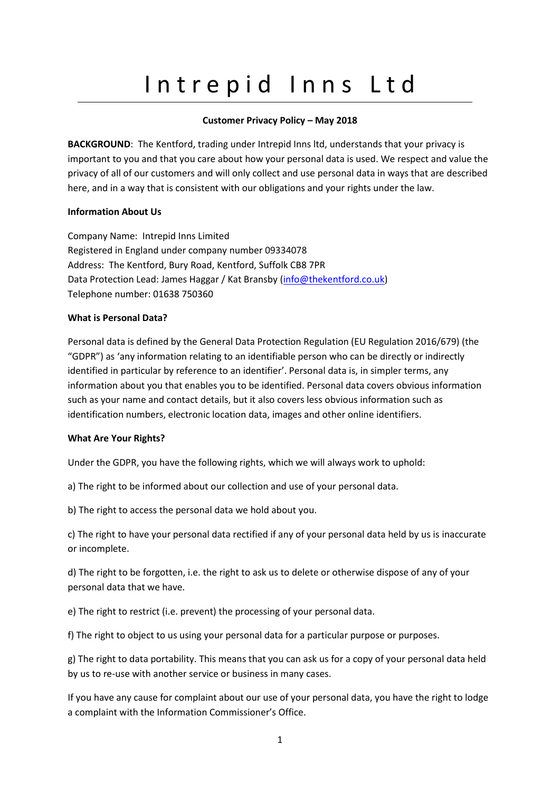# Intrepid Inns Ltd

# **Customer Privacy Policy – May 2018**

**BACKGROUND:** The Kentford, trading under Intrepid Inns ltd, understands that your privacy is important to you and that you care about how your personal data is used. We respect and value the privacy of all of our customers and will only collect and use personal data in ways that are described here, and in a way that is consistent with our obligations and your rights under the law.

# **Information About Us**

Company Name: Intrepid Inns Limited Registered in England under company number 09334078 Address: The Kentford, Bury Road, Kentford, Suffolk CB8 7PR Data Protection Lead: James Haggar / Kat Bransby [\(info@thekentford.co.uk\)](mailto:info@thekentford.co.uk) Telephone number: 01638 750360

# **What is Personal Data?**

Personal data is defined by the General Data Protection Regulation (EU Regulation 2016/679) (the "GDPR") as 'any information relating to an identifiable person who can be directly or indirectly identified in particular by reference to an identifier'. Personal data is, in simpler terms, any information about you that enables you to be identified. Personal data covers obvious information such as your name and contact details, but it also covers less obvious information such as identification numbers, electronic location data, images and other online identifiers.

# **What Are Your Rights?**

Under the GDPR, you have the following rights, which we will always work to uphold:

a) The right to be informed about our collection and use of your personal data.

b) The right to access the personal data we hold about you.

c) The right to have your personal data rectified if any of your personal data held by us is inaccurate or incomplete.

d) The right to be forgotten, i.e. the right to ask us to delete or otherwise dispose of any of your personal data that we have.

e) The right to restrict (i.e. prevent) the processing of your personal data.

f) The right to object to us using your personal data for a particular purpose or purposes.

g) The right to data portability. This means that you can ask us for a copy of your personal data held by us to re-use with another service or business in many cases.

If you have any cause for complaint about our use of your personal data, you have the right to lodge a complaint with the Information Commissioner's Office.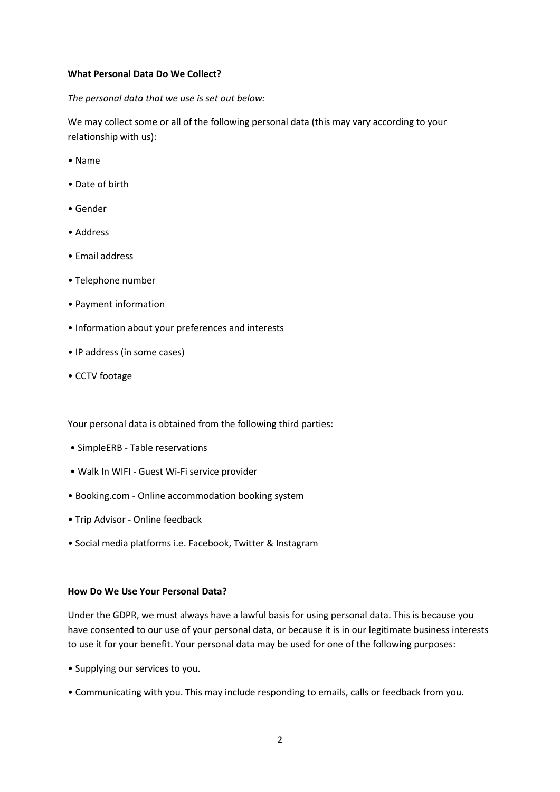#### **What Personal Data Do We Collect?**

*The personal data that we use is set out below:*

We may collect some or all of the following personal data (this may vary according to your relationship with us):

- Name
- Date of birth
- Gender
- Address
- Email address
- Telephone number
- Payment information
- Information about your preferences and interests
- IP address (in some cases)
- CCTV footage

Your personal data is obtained from the following third parties:

- SimpleERB Table reservations
- Walk In WIFI Guest Wi-Fi service provider
- Booking.com Online accommodation booking system
- Trip Advisor Online feedback
- Social media platforms i.e. Facebook, Twitter & Instagram

#### **How Do We Use Your Personal Data?**

Under the GDPR, we must always have a lawful basis for using personal data. This is because you have consented to our use of your personal data, or because it is in our legitimate business interests to use it for your benefit. Your personal data may be used for one of the following purposes:

- Supplying our services to you.
- Communicating with you. This may include responding to emails, calls or feedback from you.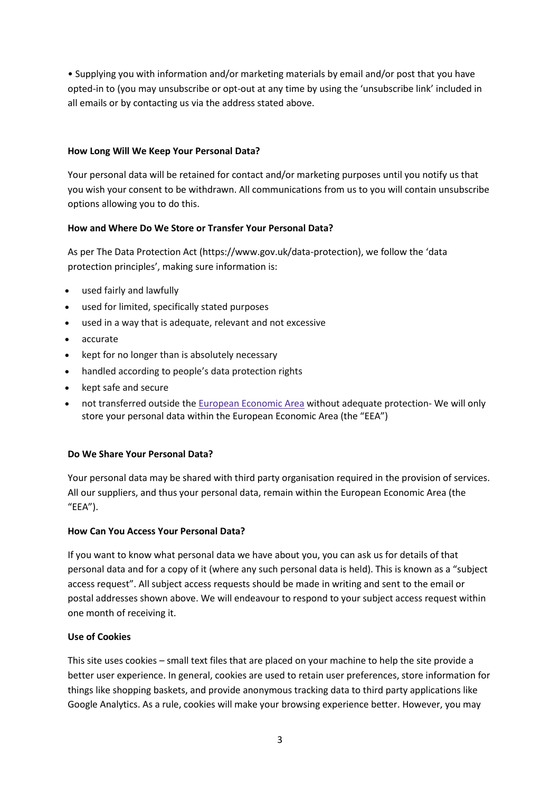• Supplying you with information and/or marketing materials by email and/or post that you have opted-in to (you may unsubscribe or opt-out at any time by using the 'unsubscribe link' included in all emails or by contacting us via the address stated above.

# **How Long Will We Keep Your Personal Data?**

Your personal data will be retained for contact and/or marketing purposes until you notify us that you wish your consent to be withdrawn. All communications from us to you will contain unsubscribe options allowing you to do this.

# **How and Where Do We Store or Transfer Your Personal Data?**

As per The Data Protection Act (https://www.gov.uk/data-protection), we follow the 'data protection principles', making sure information is:

- used fairly and lawfully
- used for limited, specifically stated purposes
- used in a way that is adequate, relevant and not excessive
- accurate
- kept for no longer than is absolutely necessary
- handled according to people's data protection rights
- kept safe and secure
- not transferred outside the European [Economic](https://www.gov.uk/eu-eea) Area without adequate protection- We will only store your personal data within the European Economic Area (the "EEA")

# **Do We Share Your Personal Data?**

Your personal data may be shared with third party organisation required in the provision of services. All our suppliers, and thus your personal data, remain within the European Economic Area (the "EEA").

# **How Can You Access Your Personal Data?**

If you want to know what personal data we have about you, you can ask us for details of that personal data and for a copy of it (where any such personal data is held). This is known as a "subject access request". All subject access requests should be made in writing and sent to the email or postal addresses shown above. We will endeavour to respond to your subject access request within one month of receiving it.

# **Use of Cookies**

This site uses cookies – small text files that are placed on your machine to help the site provide a better user experience. In general, cookies are used to retain user preferences, store information for things like shopping baskets, and provide anonymous tracking data to third party applications like Google Analytics. As a rule, cookies will make your browsing experience better. However, you may